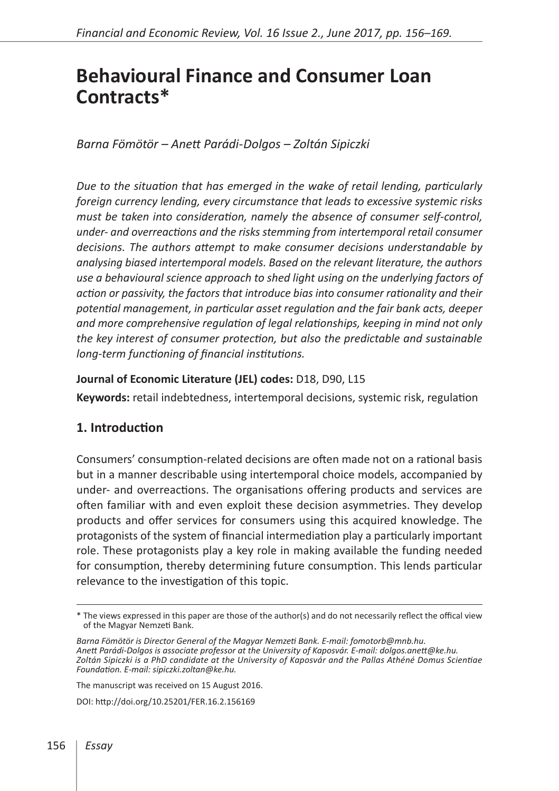# **Behavioural Finance and Consumer Loan Contracts\***

*Barna Fömötör – Anett Parádi-Dolgos – Zoltán Sipiczki*

*Due to the situation that has emerged in the wake of retail lending, particularly foreign currency lending, every circumstance that leads to excessive systemic risks must be taken into consideration, namely the absence of consumer self-control, under- and overreactions and the risks stemming from intertemporal retail consumer decisions. The authors attempt to make consumer decisions understandable by analysing biased intertemporal models. Based on the relevant literature, the authors use a behavioural science approach to shed light using on the underlying factors of action or passivity, the factors that introduce bias into consumer rationality and their potential management, in particular asset regulation and the fair bank acts, deeper and more comprehensive regulation of legal relationships, keeping in mind not only the key interest of consumer protection, but also the predictable and sustainable long-term functioning of financial institutions.*

## **Journal of Economic Literature (JEL) codes:** D18, D90, L15

**Keywords:** retail indebtedness, intertemporal decisions, systemic risk, regulation

## **1. Introduction**

Consumers' consumption-related decisions are often made not on a rational basis but in a manner describable using intertemporal choice models, accompanied by under- and overreactions. The organisations offering products and services are often familiar with and even exploit these decision asymmetries. They develop products and offer services for consumers using this acquired knowledge. The protagonists of the system of financial intermediation play a particularly important role. These protagonists play a key role in making available the funding needed for consumption, thereby determining future consumption. This lends particular relevance to the investigation of this topic.

The manuscript was received on 15 August 2016.

DOI:<http://doi.org/10.25201/FER.16.2.156169>

<sup>\*</sup> The views expressed in this paper are those of the author(s) and do not necessarily reflect the offical view of the Magyar Nemzeti Bank.

*Barna Fömötör is Director General of the Magyar Nemzeti Bank. E-mail: fomotorb@mnb.hu. Anett Parádi-Dolgos is associate professor at the University of Kaposvár. E-mail: dolgos.anett@ke.hu. Zoltán Sipiczki is a PhD candidate at the University of Kaposvár and the Pallas Athéné Domus Scientiae Foundation. E-mail: sipiczki.zoltan@ke.hu.*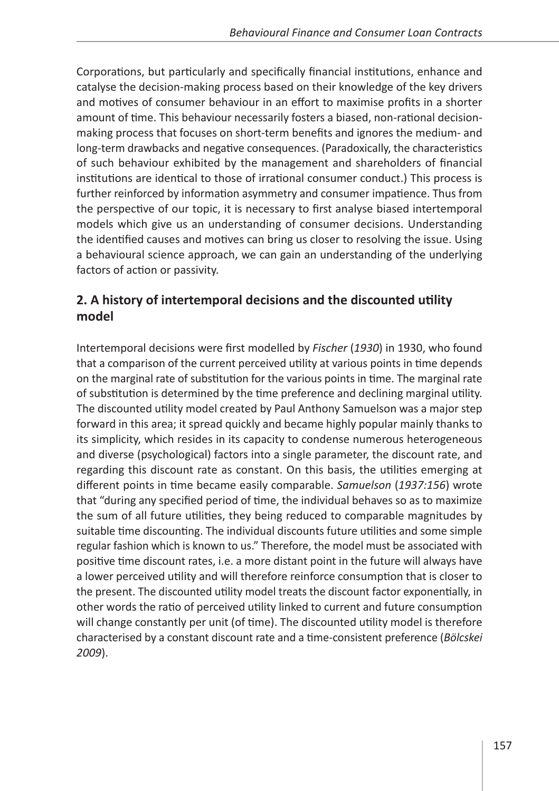Corporations, but particularly and specifically financial institutions, enhance and catalyse the decision-making process based on their knowledge of the key drivers and motives of consumer behaviour in an effort to maximise profits in a shorter amount of time. This behaviour necessarily fosters a biased, non-rational decisionmaking process that focuses on short-term benefits and ignores the medium- and long-term drawbacks and negative consequences. (Paradoxically, the characteristics of such behaviour exhibited by the management and shareholders of financial institutions are identical to those of irrational consumer conduct.) This process is further reinforced by information asymmetry and consumer impatience. Thus from the perspective of our topic, it is necessary to first analyse biased intertemporal models which give us an understanding of consumer decisions. Understanding the identified causes and motives can bring us closer to resolving the issue. Using a behavioural science approach, we can gain an understanding of the underlying factors of action or passivity.

# **2. A history of intertemporal decisions and the discounted utility model**

Intertemporal decisions were first modelled by *Fischer* (*1930*) in 1930, who found that a comparison of the current perceived utility at various points in time depends on the marginal rate of substitution for the various points in time. The marginal rate of substitution is determined by the time preference and declining marginal utility. The discounted utility model created by Paul Anthony Samuelson was a major step forward in this area; it spread quickly and became highly popular mainly thanks to its simplicity, which resides in its capacity to condense numerous heterogeneous and diverse (psychological) factors into a single parameter, the discount rate, and regarding this discount rate as constant. On this basis, the utilities emerging at different points in time became easily comparable. *Samuelson* (*1937:156*) wrote that "during any specified period of time, the individual behaves so as to maximize the sum of all future utilities, they being reduced to comparable magnitudes by suitable time discounting. The individual discounts future utilities and some simple regular fashion which is known to us." Therefore, the model must be associated with positive time discount rates, i.e. a more distant point in the future will always have a lower perceived utility and will therefore reinforce consumption that is closer to the present. The discounted utility model treats the discount factor exponentially, in other words the ratio of perceived utility linked to current and future consumption will change constantly per unit (of time). The discounted utility model is therefore characterised by a constant discount rate and a time-consistent preference (*Bölcskei 2009*).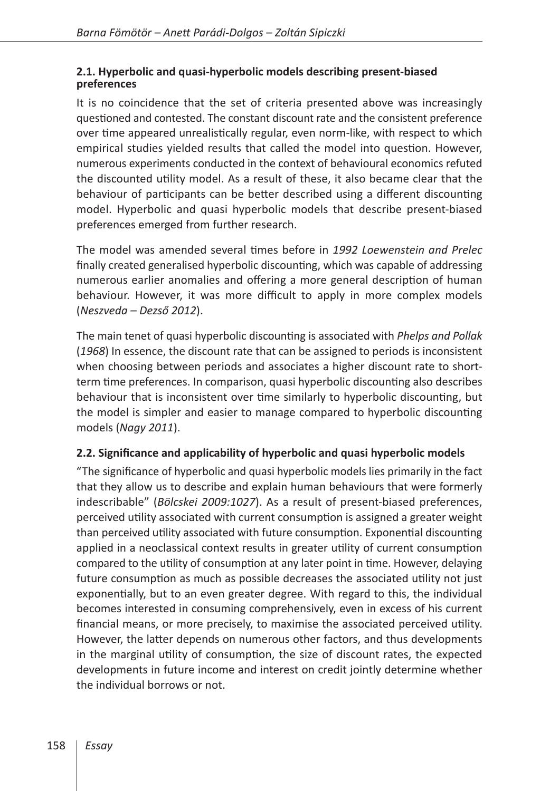#### **2.1. Hyperbolic and quasi-hyperbolic models describing present-biased preferences**

It is no coincidence that the set of criteria presented above was increasingly questioned and contested. The constant discount rate and the consistent preference over time appeared unrealistically regular, even norm-like, with respect to which empirical studies yielded results that called the model into question. However, numerous experiments conducted in the context of behavioural economics refuted the discounted utility model. As a result of these, it also became clear that the behaviour of participants can be better described using a different discounting model. Hyperbolic and quasi hyperbolic models that describe present-biased preferences emerged from further research.

The model was amended several times before in *1992 Loewenstein and Prelec* finally created generalised hyperbolic discounting, which was capable of addressing numerous earlier anomalies and offering a more general description of human behaviour. However, it was more difficult to apply in more complex models (*Neszveda – Dezső 2012*).

The main tenet of quasi hyperbolic discounting is associated with *Phelps and Pollak* (*1968*) In essence, the discount rate that can be assigned to periods is inconsistent when choosing between periods and associates a higher discount rate to shortterm time preferences. In comparison, quasi hyperbolic discounting also describes behaviour that is inconsistent over time similarly to hyperbolic discounting, but the model is simpler and easier to manage compared to hyperbolic discounting models (*Nagy 2011*).

## **2.2. Significance and applicability of hyperbolic and quasi hyperbolic models**

"The significance of hyperbolic and quasi hyperbolic models lies primarily in the fact that they allow us to describe and explain human behaviours that were formerly indescribable" (*Bölcskei 2009:1027*). As a result of present-biased preferences, perceived utility associated with current consumption is assigned a greater weight than perceived utility associated with future consumption. Exponential discounting applied in a neoclassical context results in greater utility of current consumption compared to the utility of consumption at any later point in time. However, delaying future consumption as much as possible decreases the associated utility not just exponentially, but to an even greater degree. With regard to this, the individual becomes interested in consuming comprehensively, even in excess of his current financial means, or more precisely, to maximise the associated perceived utility. However, the latter depends on numerous other factors, and thus developments in the marginal utility of consumption, the size of discount rates, the expected developments in future income and interest on credit jointly determine whether the individual borrows or not.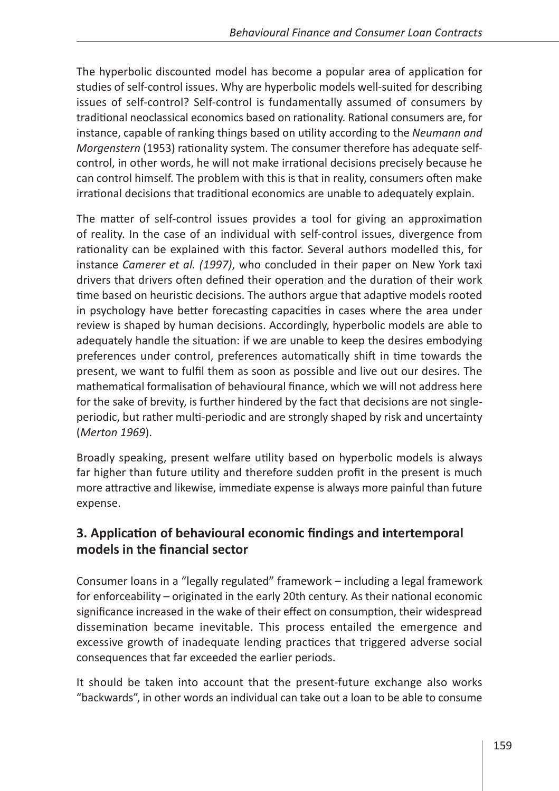The hyperbolic discounted model has become a popular area of application for studies of self-control issues. Why are hyperbolic models well-suited for describing issues of self-control? Self-control is fundamentally assumed of consumers by traditional neoclassical economics based on rationality. Rational consumers are, for instance, capable of ranking things based on utility according to the *Neumann and Morgenstern* (1953) rationality system. The consumer therefore has adequate selfcontrol, in other words, he will not make irrational decisions precisely because he can control himself. The problem with this is that in reality, consumers often make irrational decisions that traditional economics are unable to adequately explain.

The matter of self-control issues provides a tool for giving an approximation of reality. In the case of an individual with self-control issues, divergence from rationality can be explained with this factor. Several authors modelled this, for instance *Camerer et al. (1997)*, who concluded in their paper on New York taxi drivers that drivers often defined their operation and the duration of their work time based on heuristic decisions. The authors argue that adaptive models rooted in psychology have better forecasting capacities in cases where the area under review is shaped by human decisions. Accordingly, hyperbolic models are able to adequately handle the situation: if we are unable to keep the desires embodying preferences under control, preferences automatically shift in time towards the present, we want to fulfil them as soon as possible and live out our desires. The mathematical formalisation of behavioural finance, which we will not address here for the sake of brevity, is further hindered by the fact that decisions are not singleperiodic, but rather multi-periodic and are strongly shaped by risk and uncertainty (*Merton 1969*).

Broadly speaking, present welfare utility based on hyperbolic models is always far higher than future utility and therefore sudden profit in the present is much more attractive and likewise, immediate expense is always more painful than future expense.

# **3. Application of behavioural economic findings and intertemporal models in the financial sector**

Consumer loans in a "legally regulated" framework – including a legal framework for enforceability – originated in the early 20th century. As their national economic significance increased in the wake of their effect on consumption, their widespread dissemination became inevitable. This process entailed the emergence and excessive growth of inadequate lending practices that triggered adverse social consequences that far exceeded the earlier periods.

It should be taken into account that the present-future exchange also works "backwards", in other words an individual can take out a loan to be able to consume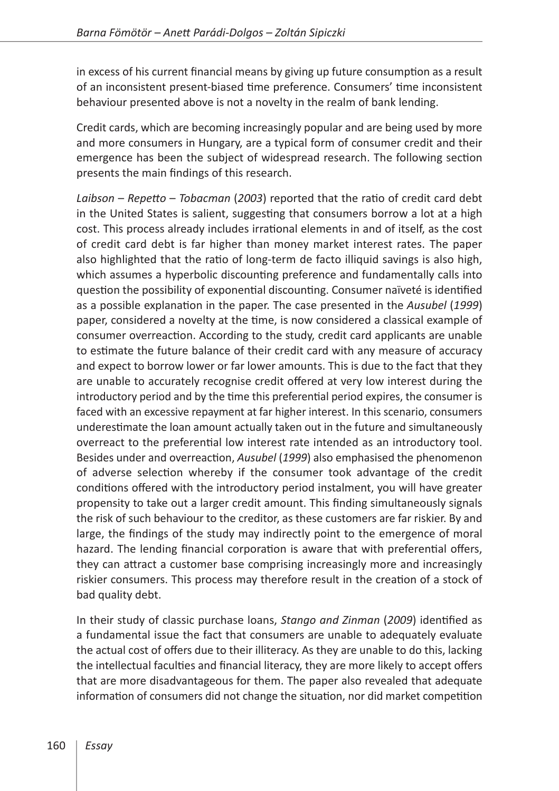in excess of his current financial means by giving up future consumption as a result of an inconsistent present-biased time preference. Consumers' time inconsistent behaviour presented above is not a novelty in the realm of bank lending.

Credit cards, which are becoming increasingly popular and are being used by more and more consumers in Hungary, are a typical form of consumer credit and their emergence has been the subject of widespread research. The following section presents the main findings of this research.

*Laibson* – *Repetto* – *Tobacman* (*2003*) reported that the ratio of credit card debt in the United States is salient, suggesting that consumers borrow a lot at a high cost. This process already includes irrational elements in and of itself, as the cost of credit card debt is far higher than money market interest rates. The paper also highlighted that the ratio of long-term de facto illiquid savings is also high, which assumes a hyperbolic discounting preference and fundamentally calls into question the possibility of exponential discounting. Consumer naïveté is identified as a possible explanation in the paper. The case presented in the *Ausubel* (*1999*) paper, considered a novelty at the time, is now considered a classical example of consumer overreaction. According to the study, credit card applicants are unable to estimate the future balance of their credit card with any measure of accuracy and expect to borrow lower or far lower amounts. This is due to the fact that they are unable to accurately recognise credit offered at very low interest during the introductory period and by the time this preferential period expires, the consumer is faced with an excessive repayment at far higher interest. In this scenario, consumers underestimate the loan amount actually taken out in the future and simultaneously overreact to the preferential low interest rate intended as an introductory tool. Besides under and overreaction, *Ausubel* (*1999*) also emphasised the phenomenon of adverse selection whereby if the consumer took advantage of the credit conditions offered with the introductory period instalment, you will have greater propensity to take out a larger credit amount. This finding simultaneously signals the risk of such behaviour to the creditor, as these customers are far riskier. By and large, the findings of the study may indirectly point to the emergence of moral hazard. The lending financial corporation is aware that with preferential offers, they can attract a customer base comprising increasingly more and increasingly riskier consumers. This process may therefore result in the creation of a stock of bad quality debt.

In their study of classic purchase loans, *Stango and Zinman* (*2009*) identified as a fundamental issue the fact that consumers are unable to adequately evaluate the actual cost of offers due to their illiteracy. As they are unable to do this, lacking the intellectual faculties and financial literacy, they are more likely to accept offers that are more disadvantageous for them. The paper also revealed that adequate information of consumers did not change the situation, nor did market competition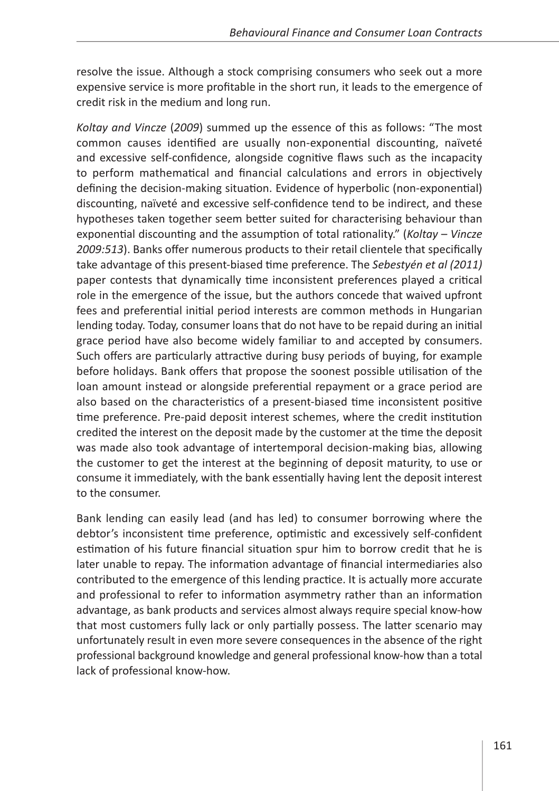resolve the issue. Although a stock comprising consumers who seek out a more expensive service is more profitable in the short run, it leads to the emergence of credit risk in the medium and long run.

*Koltay and Vincze* (*2009*) summed up the essence of this as follows: "The most common causes identified are usually non-exponential discounting, naïveté and excessive self-confidence, alongside cognitive flaws such as the incapacity to perform mathematical and financial calculations and errors in objectively defining the decision-making situation. Evidence of hyperbolic (non-exponential) discounting, naïveté and excessive self-confidence tend to be indirect, and these hypotheses taken together seem better suited for characterising behaviour than exponential discounting and the assumption of total rationality." (*Koltay* – *Vincze 2009:513*). Banks offer numerous products to their retail clientele that specifically take advantage of this present-biased time preference. The *Sebestyén et al (2011)*  paper contests that dynamically time inconsistent preferences played a critical role in the emergence of the issue, but the authors concede that waived upfront fees and preferential initial period interests are common methods in Hungarian lending today. Today, consumer loans that do not have to be repaid during an initial grace period have also become widely familiar to and accepted by consumers. Such offers are particularly attractive during busy periods of buying, for example before holidays. Bank offers that propose the soonest possible utilisation of the loan amount instead or alongside preferential repayment or a grace period are also based on the characteristics of a present-biased time inconsistent positive time preference. Pre-paid deposit interest schemes, where the credit institution credited the interest on the deposit made by the customer at the time the deposit was made also took advantage of intertemporal decision-making bias, allowing the customer to get the interest at the beginning of deposit maturity, to use or consume it immediately, with the bank essentially having lent the deposit interest to the consumer.

Bank lending can easily lead (and has led) to consumer borrowing where the debtor's inconsistent time preference, optimistic and excessively self-confident estimation of his future financial situation spur him to borrow credit that he is later unable to repay. The information advantage of financial intermediaries also contributed to the emergence of this lending practice. It is actually more accurate and professional to refer to information asymmetry rather than an information advantage, as bank products and services almost always require special know-how that most customers fully lack or only partially possess. The latter scenario may unfortunately result in even more severe consequences in the absence of the right professional background knowledge and general professional know-how than a total lack of professional know-how.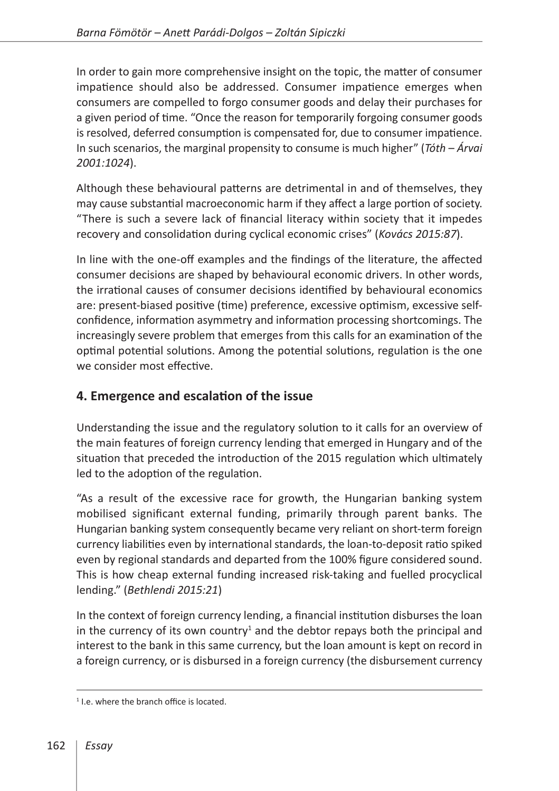In order to gain more comprehensive insight on the topic, the matter of consumer impatience should also be addressed. Consumer impatience emerges when consumers are compelled to forgo consumer goods and delay their purchases for a given period of time. "Once the reason for temporarily forgoing consumer goods is resolved, deferred consumption is compensated for, due to consumer impatience. In such scenarios, the marginal propensity to consume is much higher" (*Tóth* – *Árvai 2001:1024*).

Although these behavioural patterns are detrimental in and of themselves, they may cause substantial macroeconomic harm if they affect a large portion of society. "There is such a severe lack of financial literacy within society that it impedes recovery and consolidation during cyclical economic crises" (*Kovács 2015:87*).

In line with the one-off examples and the findings of the literature, the affected consumer decisions are shaped by behavioural economic drivers. In other words, the irrational causes of consumer decisions identified by behavioural economics are: present-biased positive (time) preference, excessive optimism, excessive selfconfidence, information asymmetry and information processing shortcomings. The increasingly severe problem that emerges from this calls for an examination of the optimal potential solutions. Among the potential solutions, regulation is the one we consider most effective.

# **4. Emergence and escalation of the issue**

Understanding the issue and the regulatory solution to it calls for an overview of the main features of foreign currency lending that emerged in Hungary and of the situation that preceded the introduction of the 2015 regulation which ultimately led to the adoption of the regulation.

"As a result of the excessive race for growth, the Hungarian banking system mobilised significant external funding, primarily through parent banks. The Hungarian banking system consequently became very reliant on short-term foreign currency liabilities even by international standards, the loan-to-deposit ratio spiked even by regional standards and departed from the 100% figure considered sound. This is how cheap external funding increased risk-taking and fuelled procyclical lending." (*Bethlendi 2015:21*)

In the context of foreign currency lending, a financial institution disburses the loan in the currency of its own country<sup>1</sup> and the debtor repays both the principal and interest to the bank in this same currency, but the loan amount is kept on record in a foreign currency, or is disbursed in a foreign currency (the disbursement currency

<sup>&</sup>lt;sup>1</sup> I.e. where the branch office is located.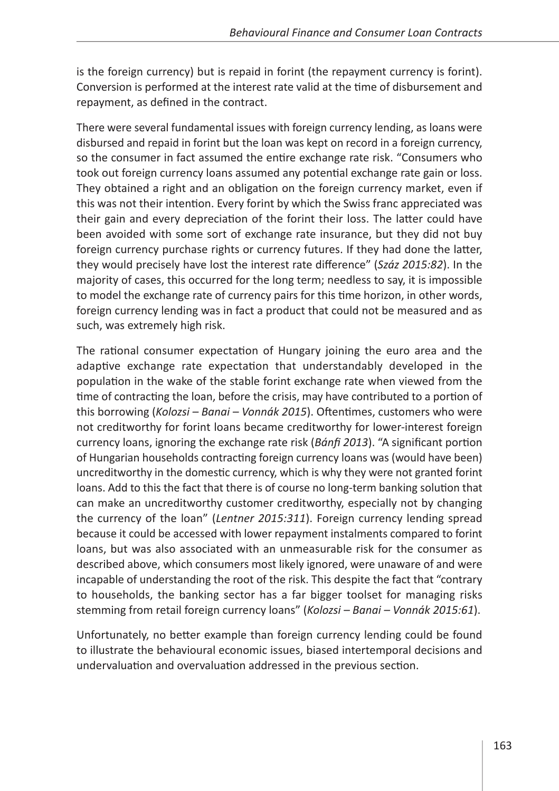is the foreign currency) but is repaid in forint (the repayment currency is forint). Conversion is performed at the interest rate valid at the time of disbursement and repayment, as defined in the contract.

There were several fundamental issues with foreign currency lending, as loans were disbursed and repaid in forint but the loan was kept on record in a foreign currency, so the consumer in fact assumed the entire exchange rate risk. "Consumers who took out foreign currency loans assumed any potential exchange rate gain or loss. They obtained a right and an obligation on the foreign currency market, even if this was not their intention. Every forint by which the Swiss franc appreciated was their gain and every depreciation of the forint their loss. The latter could have been avoided with some sort of exchange rate insurance, but they did not buy foreign currency purchase rights or currency futures. If they had done the latter, they would precisely have lost the interest rate difference" (*Száz 2015:82*). In the majority of cases, this occurred for the long term; needless to say, it is impossible to model the exchange rate of currency pairs for this time horizon, in other words, foreign currency lending was in fact a product that could not be measured and as such, was extremely high risk.

The rational consumer expectation of Hungary joining the euro area and the adaptive exchange rate expectation that understandably developed in the population in the wake of the stable forint exchange rate when viewed from the time of contracting the loan, before the crisis, may have contributed to a portion of this borrowing (*Kolozsi – Banai – Vonnák 2015*). Oftentimes, customers who were not creditworthy for forint loans became creditworthy for lower-interest foreign currency loans, ignoring the exchange rate risk (*Bánfi 2013*). "A significant portion of Hungarian households contracting foreign currency loans was (would have been) uncreditworthy in the domestic currency, which is why they were not granted forint loans. Add to this the fact that there is of course no long-term banking solution that can make an uncreditworthy customer creditworthy, especially not by changing the currency of the loan" (*Lentner 2015:311*). Foreign currency lending spread because it could be accessed with lower repayment instalments compared to forint loans, but was also associated with an unmeasurable risk for the consumer as described above, which consumers most likely ignored, were unaware of and were incapable of understanding the root of the risk. This despite the fact that "contrary to households, the banking sector has a far bigger toolset for managing risks stemming from retail foreign currency loans" (*Kolozsi – Banai – Vonnák 2015:61*).

Unfortunately, no better example than foreign currency lending could be found to illustrate the behavioural economic issues, biased intertemporal decisions and undervaluation and overvaluation addressed in the previous section.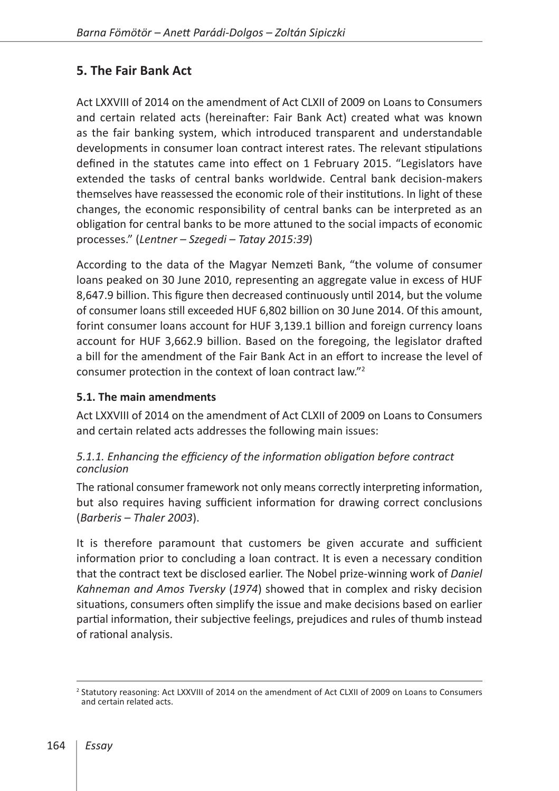# **5. The Fair Bank Act**

Act LXXVIII of 2014 on the amendment of Act CLXII of 2009 on Loans to Consumers and certain related acts (hereinafter: Fair Bank Act) created what was known as the fair banking system, which introduced transparent and understandable developments in consumer loan contract interest rates. The relevant stipulations defined in the statutes came into effect on 1 February 2015. "Legislators have extended the tasks of central banks worldwide. Central bank decision-makers themselves have reassessed the economic role of their institutions. In light of these changes, the economic responsibility of central banks can be interpreted as an obligation for central banks to be more attuned to the social impacts of economic processes." (*Lentner – Szegedi – Tatay 2015:39*)

According to the data of the Magyar Nemzeti Bank, "the volume of consumer loans peaked on 30 June 2010, representing an aggregate value in excess of HUF 8,647.9 billion. This figure then decreased continuously until 2014, but the volume of consumer loans still exceeded HUF 6,802 billion on 30 June 2014. Of this amount, forint consumer loans account for HUF 3,139.1 billion and foreign currency loans account for HUF 3,662.9 billion. Based on the foregoing, the legislator drafted a bill for the amendment of the Fair Bank Act in an effort to increase the level of consumer protection in the context of loan contract law."2

#### **5.1. The main amendments**

Act LXXVIII of 2014 on the amendment of Act CLXII of 2009 on Loans to Consumers and certain related acts addresses the following main issues:

#### *5.1.1. Enhancing the efficiency of the information obligation before contract conclusion*

The rational consumer framework not only means correctly interpreting information, but also requires having sufficient information for drawing correct conclusions (*Barberis – Thaler 2003*).

It is therefore paramount that customers be given accurate and sufficient information prior to concluding a loan contract. It is even a necessary condition that the contract text be disclosed earlier. The Nobel prize-winning work of *Daniel Kahneman and Amos Tversky* (*1974*) showed that in complex and risky decision situations, consumers often simplify the issue and make decisions based on earlier partial information, their subjective feelings, prejudices and rules of thumb instead of rational analysis.

<sup>2</sup> Statutory reasoning: Act LXXVIII of 2014 on the amendment of Act CLXII of 2009 on Loans to Consumers and certain related acts.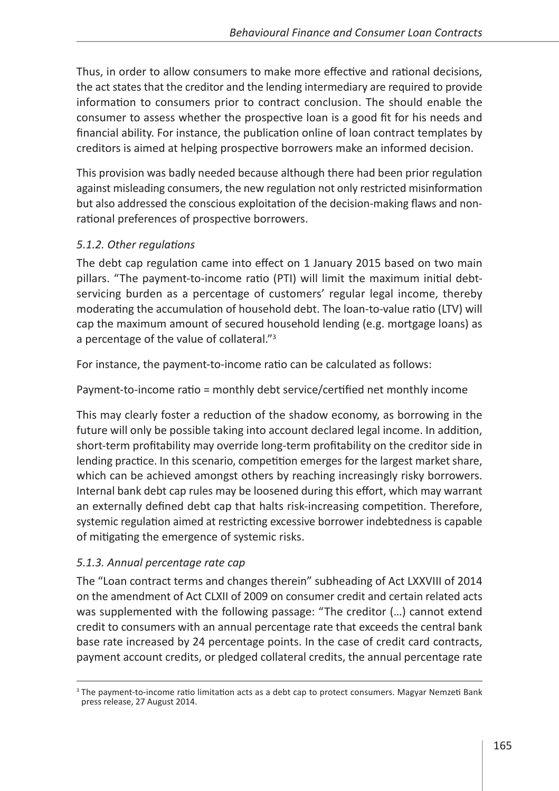Thus, in order to allow consumers to make more effective and rational decisions, the act states that the creditor and the lending intermediary are required to provide information to consumers prior to contract conclusion. The should enable the consumer to assess whether the prospective loan is a good fit for his needs and financial ability. For instance, the publication online of loan contract templates by creditors is aimed at helping prospective borrowers make an informed decision.

This provision was badly needed because although there had been prior regulation against misleading consumers, the new regulation not only restricted misinformation but also addressed the conscious exploitation of the decision-making flaws and nonrational preferences of prospective borrowers.

## *5.1.2. Other regulations*

The debt cap regulation came into effect on 1 January 2015 based on two main pillars. "The payment-to-income ratio (PTI) will limit the maximum initial debtservicing burden as a percentage of customers' regular legal income, thereby moderating the accumulation of household debt. The loan-to-value ratio (LTV) will cap the maximum amount of secured household lending (e.g. mortgage loans) as a percentage of the value of collateral."<sup>3</sup>

For instance, the payment-to-income ratio can be calculated as follows:

Payment-to-income ratio = monthly debt service/certified net monthly income

This may clearly foster a reduction of the shadow economy, as borrowing in the future will only be possible taking into account declared legal income. In addition, short-term profitability may override long-term profitability on the creditor side in lending practice. In this scenario, competition emerges for the largest market share, which can be achieved amongst others by reaching increasingly risky borrowers. Internal bank debt cap rules may be loosened during this effort, which may warrant an externally defined debt cap that halts risk-increasing competition. Therefore, systemic regulation aimed at restricting excessive borrower indebtedness is capable of mitigating the emergence of systemic risks.

## *5.1.3. Annual percentage rate cap*

The "Loan contract terms and changes therein" subheading of Act LXXVIII of 2014 on the amendment of Act CLXII of 2009 on consumer credit and certain related acts was supplemented with the following passage: "The creditor (…) cannot extend credit to consumers with an annual percentage rate that exceeds the central bank base rate increased by 24 percentage points. In the case of credit card contracts, payment account credits, or pledged collateral credits, the annual percentage rate

<sup>&</sup>lt;sup>3</sup> The payment-to-income ratio limitation acts as a debt cap to protect consumers. Magyar Nemzeti Bank press release, 27 August 2014.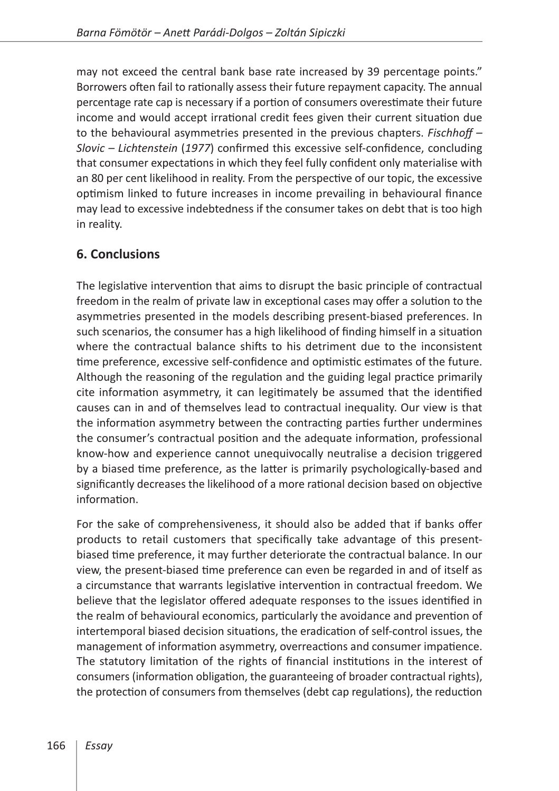may not exceed the central bank base rate increased by 39 percentage points." Borrowers often fail to rationally assess their future repayment capacity. The annual percentage rate cap is necessary if a portion of consumers overestimate their future income and would accept irrational credit fees given their current situation due to the behavioural asymmetries presented in the previous chapters. *Fischhoff – Slovic – Lichtenstein* (*1977*) confirmed this excessive self-confidence, concluding that consumer expectations in which they feel fully confident only materialise with an 80 per cent likelihood in reality. From the perspective of our topic, the excessive optimism linked to future increases in income prevailing in behavioural finance may lead to excessive indebtedness if the consumer takes on debt that is too high in reality.

## **6. Conclusions**

The legislative intervention that aims to disrupt the basic principle of contractual freedom in the realm of private law in exceptional cases may offer a solution to the asymmetries presented in the models describing present-biased preferences. In such scenarios, the consumer has a high likelihood of finding himself in a situation where the contractual balance shifts to his detriment due to the inconsistent time preference, excessive self-confidence and optimistic estimates of the future. Although the reasoning of the regulation and the guiding legal practice primarily cite information asymmetry, it can legitimately be assumed that the identified causes can in and of themselves lead to contractual inequality. Our view is that the information asymmetry between the contracting parties further undermines the consumer's contractual position and the adequate information, professional know-how and experience cannot unequivocally neutralise a decision triggered by a biased time preference, as the latter is primarily psychologically-based and significantly decreases the likelihood of a more rational decision based on objective information.

For the sake of comprehensiveness, it should also be added that if banks offer products to retail customers that specifically take advantage of this presentbiased time preference, it may further deteriorate the contractual balance. In our view, the present-biased time preference can even be regarded in and of itself as a circumstance that warrants legislative intervention in contractual freedom. We believe that the legislator offered adequate responses to the issues identified in the realm of behavioural economics, particularly the avoidance and prevention of intertemporal biased decision situations, the eradication of self-control issues, the management of information asymmetry, overreactions and consumer impatience. The statutory limitation of the rights of financial institutions in the interest of consumers (information obligation, the guaranteeing of broader contractual rights), the protection of consumers from themselves (debt cap regulations), the reduction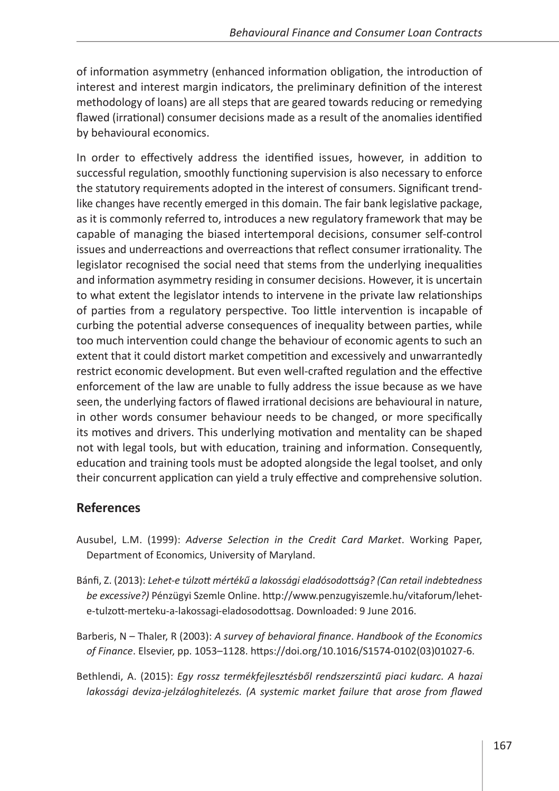of information asymmetry (enhanced information obligation, the introduction of interest and interest margin indicators, the preliminary definition of the interest methodology of loans) are all steps that are geared towards reducing or remedying flawed (irrational) consumer decisions made as a result of the anomalies identified by behavioural economics.

In order to effectively address the identified issues, however, in addition to successful regulation, smoothly functioning supervision is also necessary to enforce the statutory requirements adopted in the interest of consumers. Significant trendlike changes have recently emerged in this domain. The fair bank legislative package, as it is commonly referred to, introduces a new regulatory framework that may be capable of managing the biased intertemporal decisions, consumer self-control issues and underreactions and overreactions that reflect consumer irrationality. The legislator recognised the social need that stems from the underlying inequalities and information asymmetry residing in consumer decisions. However, it is uncertain to what extent the legislator intends to intervene in the private law relationships of parties from a regulatory perspective. Too little intervention is incapable of curbing the potential adverse consequences of inequality between parties, while too much intervention could change the behaviour of economic agents to such an extent that it could distort market competition and excessively and unwarrantedly restrict economic development. But even well-crafted regulation and the effective enforcement of the law are unable to fully address the issue because as we have seen, the underlying factors of flawed irrational decisions are behavioural in nature, in other words consumer behaviour needs to be changed, or more specifically its motives and drivers. This underlying motivation and mentality can be shaped not with legal tools, but with education, training and information. Consequently, education and training tools must be adopted alongside the legal toolset, and only their concurrent application can yield a truly effective and comprehensive solution.

## **References**

- Ausubel, L.M. (1999): *Adverse Selection in the Credit Card Market*. Working Paper, Department of Economics, University of Maryland.
- Bánfi, Z. (2013): *Lehet-e túlzott mértékű a lakossági eladósodottság? (Can retail indebtedness be excessive?)* Pénzügyi Szemle Online. [http://www.penzugyiszemle.hu/vitaforum/lehet](http://www.penzugyiszemle.hu/vitaforum/lehet-e-tulzott-merteku-a-lakossagi-eladosodottsag)[e-tulzott-merteku-a-lakossagi-eladosodottsag](http://www.penzugyiszemle.hu/vitaforum/lehet-e-tulzott-merteku-a-lakossagi-eladosodottsag). Downloaded: 9 June 2016.
- Barberis, N Thaler, R (2003): *A survey of behavioral finance*. *Handbook of the Economics of Finance*. Elsevier, pp. 1053–1128. [https://doi.org/10.1016/S1574-0102\(03\)01027-6](https://doi.org/10.1016/S1574-0102(03)01027-6).
- Bethlendi, A. (2015): *Egy rossz termékfejlesztésből rendszerszintű piaci kudarc. A hazai lakossági deviza-jelzáloghitelezés. (A systemic market failure that arose from flawed*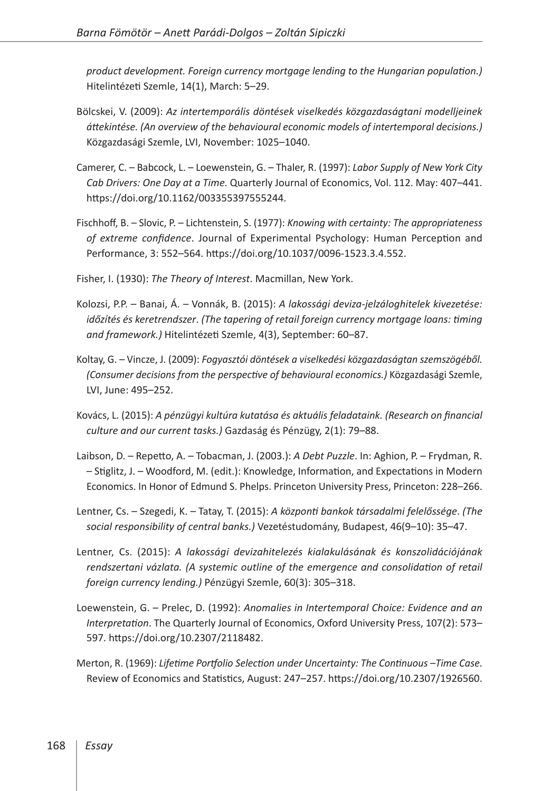*product development. Foreign currency mortgage lending to the Hungarian population.)* Hitelintézeti Szemle, 14(1), March: 5–29.

- Bölcskei, V. (2009): *Az intertemporális döntések viselkedés közgazdaságtani modelljeinek áttekintése. (An overview of the behavioural economic models of intertemporal decisions.)* Közgazdasági Szemle, LVI, November: 1025–1040.
- Camerer, C. Babcock, L. Loewenstein, G. Thaler, R. (1997): *Labor Supply of New York City Cab Drivers: One Day at a Time.* Quarterly Journal of Economics, Vol. 112. May: 407–441. [https://doi.org/10.1162/003355397555244.](https://doi.org/10.1162/003355397555244)
- Fischhoff, B. Slovic, P. Lichtenstein, S. (1977): *Knowing with certainty: The appropriateness of extreme confidence*. Journal of Experimental Psychology: Human Perception and Performance, 3: 552–564. [https://doi.org/10.1037/0096-1523.3.4.552.](https://doi.org/10.1037/0096-1523.3.4.552)
- Fisher, I. (1930): *The Theory of Interest*. Macmillan, New York.
- Kolozsi, P.P. Banai, Á. Vonnák, B. (2015): *A lakossági deviza-jelzáloghitelek kivezetése: időzítés és keretrendszer*. *(The tapering of retail foreign currency mortgage loans: timing and framework.)* Hitelintézeti Szemle, 4(3), September: 60–87.
- Koltay, G. Vincze, J. (2009): *Fogyasztói döntések a viselkedési közgazdaságtan szemszögéből. (Consumer decisions from the perspective of behavioural economics.)* Közgazdasági Szemle, LVI, June: 495–252.
- Kovács, L. (2015): *A pénzügyi kultúra kutatása és aktuális feladataink. (Research on financial culture and our current tasks.)* Gazdaság és Pénzügy, 2(1): 79–88.
- Laibson, D. Repetto, A. Tobacman, J. (2003.): *A Debt Puzzle*. In: Aghion, P. Frydman, R. – Stiglitz, J. – Woodford, M. (edit.): Knowledge, Information, and Expectations in Modern Economics. In Honor of Edmund S. Phelps. Princeton University Press, Princeton: 228–266.
- Lentner, Cs. Szegedi, K. Tatay, T. (2015): *A központi bankok társadalmi felelőssége*. *(The social responsibility of central banks.)* Vezetéstudomány, Budapest, 46(9–10): 35–47.
- Lentner, Cs. (2015): *A lakossági devizahitelezés kialakulásának és konszolidációjának rendszertani vázlata. (A systemic outline of the emergence and consolidation of retail foreign currency lending.)* Pénzügyi Szemle, 60(3): 305–318.
- Loewenstein, G. Prelec, D. (1992): *Anomalies in Intertemporal Choice: Evidence and an Interpretation*. The Quarterly Journal of Economics, Oxford University Press, 107(2): 573– 597. <https://doi.org/10.2307/2118482>.
- Merton, R. (1969): *Lifetime Portfolio Selection under Uncertainty: The Continuous –Time Case*. Review of Economics and Statistics, August: 247–257. [https://doi.org/10.2307/1926560.](https://doi.org/10.2307/1926560)